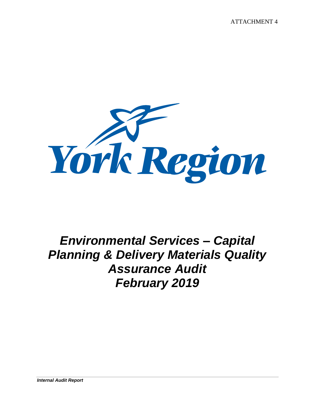ATTACHMENT 4



## *Environmental Services – Capital Planning & Delivery Materials Quality Assurance Audit February 2019*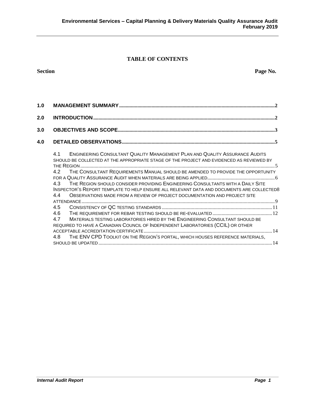#### **TABLE OF CONTENTS**

# **1.0 MANAGEMENT SUMMARY[........................................................................................................................2](#page-2-0) 2.0 INTRODUCTION[............................................................................................................................................2](#page-2-1) 3.0 OBJECTIVES AND SCOPE[.........................................................................................................................3](#page-3-0)**

| 4.0 |                                                                                                                                                                                       |
|-----|---------------------------------------------------------------------------------------------------------------------------------------------------------------------------------------|
|     | <b>ENGINEERING CONSULTANT QUALITY MANAGEMENT PLAN AND QUALITY ASSURANCE AUDITS</b><br>4.1<br>SHOULD BE COLLECTED AT THE APPROPRIATE STAGE OF THE PROJECT AND EVIDENCED AS REVIEWED BY |
|     |                                                                                                                                                                                       |
|     | THE CONSULTANT REQUIREMENTS MANUAL SHOULD BE AMENDED TO PROVIDE THE OPPORTUNITY<br>4.2                                                                                                |
|     |                                                                                                                                                                                       |
|     | THE REGION SHOULD CONSIDER PROVIDING ENGINEERING CONSULTANTS WITH A DAILY SITE<br>4.3                                                                                                 |
|     | INSPECTOR'S REPORT TEMPLATE TO HELP ENSURE ALL RELEVANT DATA AND DOCUMENTS ARE COLLECTED8                                                                                             |
|     | OBSERVATIONS MADE FROM A REVIEW OF PROJECT DOCUMENTATION AND PROJECT SITE<br>44                                                                                                       |
|     |                                                                                                                                                                                       |
|     | 4.5                                                                                                                                                                                   |
|     | 4.6                                                                                                                                                                                   |
|     | MATERIALS TESTING LABORATORIES HIRED BY THE ENGINEERING CONSULTANT SHOULD BE<br>4.7                                                                                                   |
|     | REQUIRED TO HAVE A CANADIAN COUNCIL OF INDEPENDENT LABORATORIES (CCIL) OR OTHER                                                                                                       |
|     |                                                                                                                                                                                       |
|     | THE ENV CPD TOOLKIT ON THE REGION'S PORTAL, WHICH HOUSES REFERENCE MATERIALS.<br>4.8                                                                                                  |
|     |                                                                                                                                                                                       |

**Section Page No.**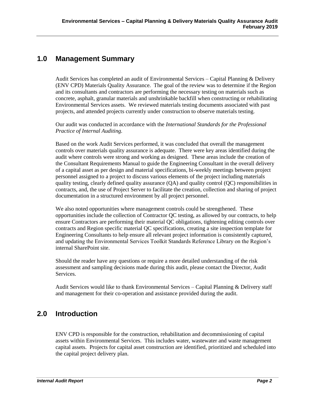#### <span id="page-2-0"></span>**1.0 Management Summary**

Audit Services has completed an audit of Environmental Services – Capital Planning & Delivery (ENV CPD) Materials Quality Assurance. The goal of the review was to determine if the Region and its consultants and contractors are performing the necessary testing on materials such as concrete, asphalt, granular materials and unshrinkable backfill when constructing or rehabilitating Environmental Services assets. We reviewed materials testing documents associated with past projects, and attended projects currently under construction to observe materials testing.

Our audit was conducted in accordance with the *International Standards for the Professional Practice of Internal Auditing.*

Based on the work Audit Services performed, it was concluded that overall the management controls over materials quality assurance is adequate. There were key areas identified during the audit where controls were strong and working as designed. These areas include the creation of the Consultant Requirements Manual to guide the Engineering Consultant in the overall delivery of a capital asset as per design and material specifications, bi-weekly meetings between project personnel assigned to a project to discuss various elements of the project including materials quality testing, clearly defined quality assurance (QA) and quality control (QC) responsibilities in contracts, and, the use of Project Server to facilitate the creation, collection and sharing of project documentation in a structured environment by all project personnel.

We also noted opportunities where management controls could be strengthened. These opportunities include the collection of Contractor QC testing, as allowed by our contracts, to help ensure Contractors are performing their material QC obligations, tightening editing controls over contracts and Region specific material QC specifications, creating a site inspection template for Engineering Consultants to help ensure all relevant project information is consistently captured, and updating the Environmental Services Toolkit Standards Reference Library on the Region's internal SharePoint site.

Should the reader have any questions or require a more detailed understanding of the risk assessment and sampling decisions made during this audit, please contact the Director, Audit Services.

Audit Services would like to thank Environmental Services – Capital Planning & Delivery staff and management for their co-operation and assistance provided during the audit.

### <span id="page-2-1"></span>**2.0 Introduction**

ENV CPD is responsible for the construction, rehabilitation and decommissioning of capital assets within Environmental Services. This includes water, wastewater and waste management capital assets. Projects for capital asset construction are identified, prioritized and scheduled into the capital project delivery plan.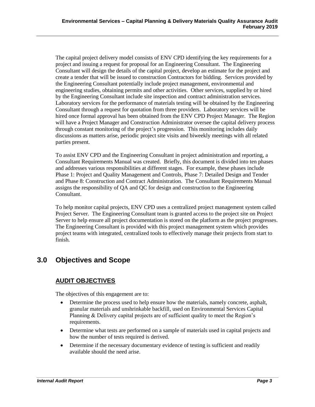The capital project delivery model consists of ENV CPD identifying the key requirements for a project and issuing a request for proposal for an Engineering Consultant. The Engineering Consultant will design the details of the capital project, develop an estimate for the project and create a tender that will be issued to construction Contractors for bidding. Services provided by the Engineering Consultant potentially include project management, environmental and engineering studies, obtaining permits and other activities. Other services, supplied by or hired by the Engineering Consultant include site inspection and contract administration services. Laboratory services for the performance of materials testing will be obtained by the Engineering Consultant through a request for quotation from three providers. Laboratory services will be hired once formal approval has been obtained from the ENV CPD Project Manager. The Region will have a Project Manager and Construction Administrator oversee the capital delivery process through constant monitoring of the project's progression. This monitoring includes daily discussions as matters arise, periodic project site visits and biweekly meetings with all related parties present.

To assist ENV CPD and the Engineering Consultant in project administration and reporting, a Consultant Requirements Manual was created. Briefly, this document is divided into ten phases and addresses various responsibilities at different stages. For example, these phases include Phase 1: Project and Quality Management and Controls, Phase 7: Detailed Design and Tender and Phase 8: Construction and Contract Administration. The Consultant Requirements Manual assigns the responsibility of QA and QC for design and construction to the Engineering Consultant.

To help monitor capital projects, ENV CPD uses a centralized project management system called Project Server. The Engineering Consultant team is granted access to the project site on Project Server to help ensure all project documentation is stored on the platform as the project progresses. The Engineering Consultant is provided with this project management system which provides project teams with integrated, centralized tools to effectively manage their projects from start to finish.

### <span id="page-3-0"></span>**3.0 Objectives and Scope**

#### **AUDIT OBJECTIVES**

The objectives of this engagement are to:

- Determine the process used to help ensure how the materials, namely concrete, asphalt, granular materials and unshrinkable backfill, used on Environmental Services Capital Planning & Delivery capital projects are of sufficient quality to meet the Region's requirements.
- Determine what tests are performed on a sample of materials used in capital projects and how the number of tests required is derived.
- Determine if the necessary documentary evidence of testing is sufficient and readily available should the need arise.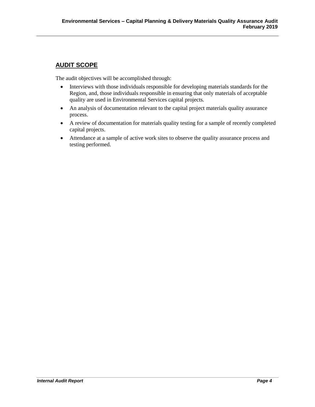#### **AUDIT SCOPE**

The audit objectives will be accomplished through:

- Interviews with those individuals responsible for developing materials standards for the Region, and, those individuals responsible in ensuring that only materials of acceptable quality are used in Environmental Services capital projects.
- An analysis of documentation relevant to the capital project materials quality assurance process.
- A review of documentation for materials quality testing for a sample of recently completed capital projects.
- Attendance at a sample of active work sites to observe the quality assurance process and testing performed.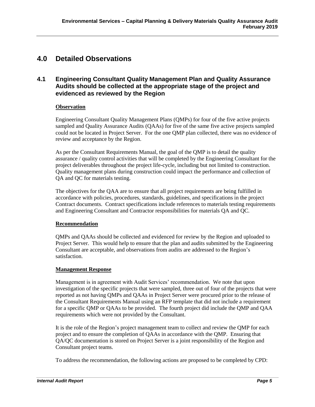#### <span id="page-5-0"></span>**4.0 Detailed Observations**

#### <span id="page-5-1"></span>**4.1 Engineering Consultant Quality Management Plan and Quality Assurance Audits should be collected at the appropriate stage of the project and evidenced as reviewed by the Region**

#### **Observation**

Engineering Consultant Quality Management Plans (QMPs) for four of the five active projects sampled and Quality Assurance Audits (QAAs) for five of the same five active projects sampled could not be located in Project Server. For the one QMP plan collected, there was no evidence of review and acceptance by the Region.

As per the Consultant Requirements Manual, the goal of the QMP is to detail the quality assurance / quality control activities that will be completed by the Engineering Consultant for the project deliverables throughout the project life-cycle, including but not limited to construction. Quality management plans during construction could impact the performance and collection of QA and QC for materials testing.

The objectives for the QAA are to ensure that all project requirements are being fulfilled in accordance with policies, procedures, standards, guidelines, and specifications in the project Contract documents. Contract specifications include references to materials testing requirements and Engineering Consultant and Contractor responsibilities for materials QA and QC.

#### **Recommendation**

QMPs and QAAs should be collected and evidenced for review by the Region and uploaded to Project Server. This would help to ensure that the plan and audits submitted by the Engineering Consultant are acceptable, and observations from audits are addressed to the Region's satisfaction.

#### **Management Response**

Management is in agreement with Audit Services' recommendation. We note that upon investigation of the specific projects that were sampled, three out of four of the projects that were reported as not having QMPs and QAAs in Project Server were procured prior to the release of the Consultant Requirements Manual using an RFP template that did not include a requirement for a specific QMP or QAAs to be provided. The fourth project did include the QMP and QAA requirements which were not provided by the Consultant.

It is the role of the Region's project management team to collect and review the QMP for each project and to ensure the completion of QAAs in accordance with the QMP. Ensuring that QA/QC documentation is stored on Project Server is a joint responsibility of the Region and Consultant project teams.

To address the recommendation, the following actions are proposed to be completed by CPD: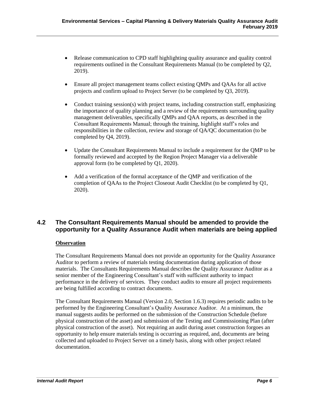- Release communication to CPD staff highlighting quality assurance and quality control requirements outlined in the Consultant Requirements Manual (to be completed by Q2, 2019).
- Ensure all project management teams collect existing QMPs and QAAs for all active projects and confirm upload to Project Server (to be completed by Q3, 2019).
- Conduct training session(s) with project teams, including construction staff, emphasizing the importance of quality planning and a review of the requirements surrounding quality management deliverables, specifically QMPs and QAA reports, as described in the Consultant Requirements Manual; through the training, highlight staff's roles and responsibilities in the collection, review and storage of QA/QC documentation (to be completed by Q4, 2019).
- Update the Consultant Requirements Manual to include a requirement for the QMP to be formally reviewed and accepted by the Region Project Manager via a deliverable approval form (to be completed by Q1, 2020).
- Add a verification of the formal acceptance of the QMP and verification of the completion of QAAs to the Project Closeout Audit Checklist (to be completed by Q1, 2020).

#### <span id="page-6-0"></span>**4.2 The Consultant Requirements Manual should be amended to provide the opportunity for a Quality Assurance Audit when materials are being applied**

#### **Observation**

The Consultant Requirements Manual does not provide an opportunity for the Quality Assurance Auditor to perform a review of materials testing documentation during application of those materials. The Consultants Requirements Manual describes the Quality Assurance Auditor as a senior member of the Engineering Consultant's staff with sufficient authority to impact performance in the delivery of services. They conduct audits to ensure all project requirements are being fulfilled according to contract documents.

The Consultant Requirements Manual (Version 2.0, Section 1.6.3) requires periodic audits to be performed by the Engineering Consultant's Quality Assurance Auditor. At a minimum, the manual suggests audits be performed on the submission of the Construction Schedule (before physical construction of the asset) and submission of the Testing and Commissioning Plan (after physical construction of the asset). Not requiring an audit during asset construction forgoes an opportunity to help ensure materials testing is occurring as required, and, documents are being collected and uploaded to Project Server on a timely basis, along with other project related documentation.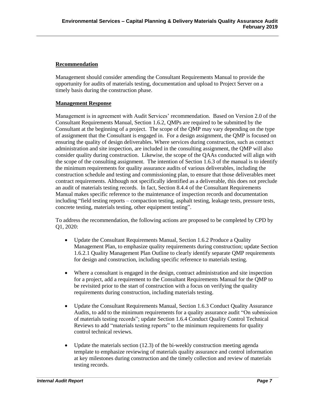#### **Recommendation**

Management should consider amending the Consultant Requirements Manual to provide the opportunity for audits of materials testing, documentation and upload to Project Server on a timely basis during the construction phase.

#### **Management Response**

Management is in agreement with Audit Services' recommendation. Based on Version 2.0 of the Consultant Requirements Manual, Section 1.6.2, QMPs are required to be submitted by the Consultant at the beginning of a project. The scope of the QMP may vary depending on the type of assignment that the Consultant is engaged in. For a design assignment, the QMP is focused on ensuring the quality of design deliverables. Where services during construction, such as contract administration and site inspection, are included in the consulting assignment, the QMP will also consider quality during construction. Likewise, the scope of the QAAs conducted will align with the scope of the consulting assignment. The intention of Section 1.6.3 of the manual is to identify the minimum requirements for quality assurance audits of various deliverables, including the construction schedule and testing and commissioning plan, to ensure that those deliverables meet contract requirements. Although not specifically identified as a deliverable, this does not preclude an audit of materials testing records. In fact, Section 8.4.4 of the Consultant Requirements Manual makes specific reference to the maintenance of inspection records and documentation including "field testing reports – compaction testing, asphalt testing, leakage tests, pressure tests, concrete testing, materials testing, other equipment testing".

To address the recommendation, the following actions are proposed to be completed by CPD by Q1, 2020:

- Update the Consultant Requirements Manual, Section 1.6.2 Produce a Quality Management Plan, to emphasize quality requirements during construction; update Section 1.6.2.1 Quality Management Plan Outline to clearly identify separate QMP requirements for design and construction, including specific reference to materials testing.
- Where a consultant is engaged in the design, contract administration and site inspection for a project, add a requirement to the Consultant Requirements Manual for the QMP to be revisited prior to the start of construction with a focus on verifying the quality requirements during construction, including materials testing.
- Update the Consultant Requirements Manual, Section 1.6.3 Conduct Quality Assurance Audits, to add to the minimum requirements for a quality assurance audit "On submission of materials testing records"; update Section 1.6.4 Conduct Quality Control Technical Reviews to add "materials testing reports" to the minimum requirements for quality control technical reviews.
- Update the materials section (12.3) of the bi-weekly construction meeting agenda template to emphasize reviewing of materials quality assurance and control information at key milestones during construction and the timely collection and review of materials testing records.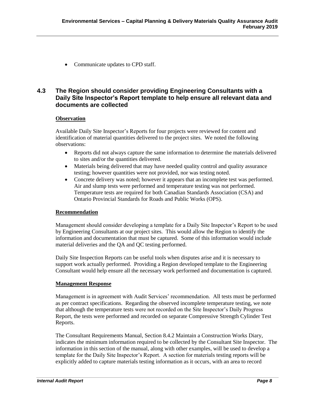• Communicate updates to CPD staff.

#### <span id="page-8-0"></span>**4.3 The Region should consider providing Engineering Consultants with a Daily Site Inspector's Report template to help ensure all relevant data and documents are collected**

#### **Observation**

Available Daily Site Inspector's Reports for four projects were reviewed for content and identification of material quantities delivered to the project sites. We noted the following observations:

- Reports did not always capture the same information to determine the materials delivered to sites and/or the quantities delivered.
- Materials being delivered that may have needed quality control and quality assurance testing; however quantities were not provided, nor was testing noted.
- Concrete delivery was noted; however it appears that an incomplete test was performed. Air and slump tests were performed and temperature testing was not performed. Temperature tests are required for both Canadian Standards Association (CSA) and Ontario Provincial Standards for Roads and Public Works (OPS).

#### **Recommendation**

Management should consider developing a template for a Daily Site Inspector's Report to be used by Engineering Consultants at our project sites. This would allow the Region to identify the information and documentation that must be captured. Some of this information would include material deliveries and the QA and QC testing performed.

Daily Site Inspection Reports can be useful tools when disputes arise and it is necessary to support work actually performed. Providing a Region developed template to the Engineering Consultant would help ensure all the necessary work performed and documentation is captured.

#### **Management Response**

Management is in agreement with Audit Services' recommendation. All tests must be performed as per contract specifications. Regarding the observed incomplete temperature testing, we note that although the temperature tests were not recorded on the Site Inspector's Daily Progress Report, the tests were performed and recorded on separate Compressive Strength Cylinder Test Reports.

The Consultant Requirements Manual, Section 8.4.2 Maintain a Construction Works Diary, indicates the minimum information required to be collected by the Consultant Site Inspector. The information in this section of the manual, along with other examples, will be used to develop a template for the Daily Site Inspector's Report. A section for materials testing reports will be explicitly added to capture materials testing information as it occurs, with an area to record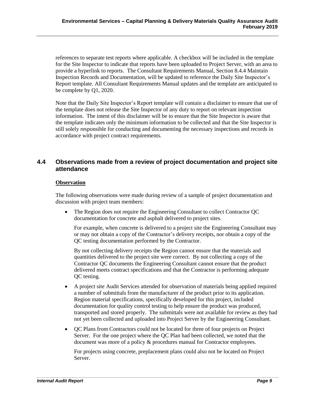references to separate test reports where applicable. A checkbox will be included in the template for the Site Inspector to indicate that reports have been uploaded to Project Server, with an area to provide a hyperlink to reports. The Consultant Requirements Manual, Section 8.4.4 Maintain Inspection Records and Documentation, will be updated to reference the Daily Site Inspector's Report template. All Consultant Requirements Manual updates and the template are anticipated to be complete by Q1, 2020.

Note that the Daily Site Inspector's Report template will contain a disclaimer to ensure that use of the template does not release the Site Inspector of any duty to report on relevant inspection information. The intent of this disclaimer will be to ensure that the Site Inspector is aware that the template indicates only the minimum information to be collected and that the Site Inspector is still solely responsible for conducting and documenting the necessary inspections and records in accordance with project contract requirements.

#### <span id="page-9-0"></span>**4.4 Observations made from a review of project documentation and project site attendance**

#### **Observation**

The following observations were made during review of a sample of project documentation and discussion with project team members:

• The Region does not require the Engineering Consultant to collect Contractor QC documentation for concrete and asphalt delivered to project sites.

For example, when concrete is delivered to a project site the Engineering Consultant may or may not obtain a copy of the Contractor's delivery receipts, nor obtain a copy of the QC testing documentation performed by the Contractor.

By not collecting delivery receipts the Region cannot ensure that the materials and quantities delivered to the project site were correct. By not collecting a copy of the Contractor QC documents the Engineering Consultant cannot ensure that the product delivered meets contract specifications and that the Contractor is performing adequate QC testing.

- A project site Audit Services attended for observation of materials being applied required a number of submittals from the manufacturer of the product prior to its application. Region material specifications, specifically developed for this project, included documentation for quality control testing to help ensure the product was produced, transported and stored properly. The submittals were not available for review as they had not yet been collected and uploaded into Project Server by the Engineering Consultant.
- QC Plans from Contractors could not be located for three of four projects on Project Server. For the one project where the QC Plan had been collected, we noted that the document was more of a policy & procedures manual for Contractor employees.

For projects using concrete, preplacement plans could also not be located on Project Server.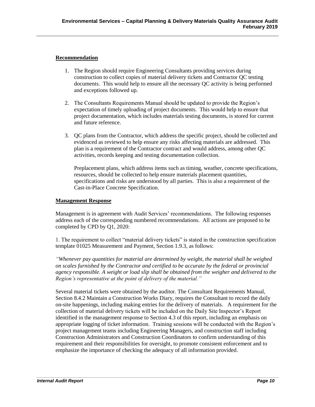#### **Recommendation**

- 1. The Region should require Engineering Consultants providing services during construction to collect copies of material delivery tickets and Contractor QC testing documents. This would help to ensure all the necessary QC activity is being performed and exceptions followed up.
- 2. The Consultants Requirements Manual should be updated to provide the Region's expectation of timely uploading of project documents. This would help to ensure that project documentation, which includes materials testing documents, is stored for current and future reference.
- 3. QC plans from the Contractor, which address the specific project, should be collected and evidenced as reviewed to help ensure any risks affecting materials are addressed. This plan is a requirement of the Contractor contract and would address, among other QC activities, records keeping and testing documentation collection.

Preplacement plans, which address items such as timing, weather, concrete specifications, resources, should be collected to help ensure materials placement quantities, specifications and risks are understood by all parties. This is also a requirement of the Cast-in-Place Concrete Specification.

#### **Management Response**

Management is in agreement with Audit Services' recommendations. The following responses address each of the corresponding numbered recommendations. All actions are proposed to be completed by CPD by Q1, 2020:

1. The requirement to collect "material delivery tickets" is stated in the construction specification template 01025 Measurement and Payment, Section 1.9.3, as follows:

*"Whenever pay quantities for material are determined by weight, the material shall be weighed on scales furnished by the Contractor and certified to be accurate by the federal or provincial agency responsible. A weight or load slip shall be obtained from the weigher and delivered to the Region's representative at the point of delivery of the material."*

Several material tickets were obtained by the auditor. The Consultant Requirements Manual, Section 8.4.2 Maintain a Construction Works Diary, requires the Consultant to record the daily on-site happenings, including making entries for the delivery of materials. A requirement for the collection of material delivery tickets will be included on the Daily Site Inspector's Report identified in the management response to Section 4.3 of this report, including an emphasis on appropriate logging of ticket information. Training sessions will be conducted with the Region's project management teams including Engineering Managers, and construction staff including Construction Administrators and Construction Coordinators to confirm understanding of this requirement and their responsibilities for oversight, to promote consistent enforcement and to emphasize the importance of checking the adequacy of all information provided.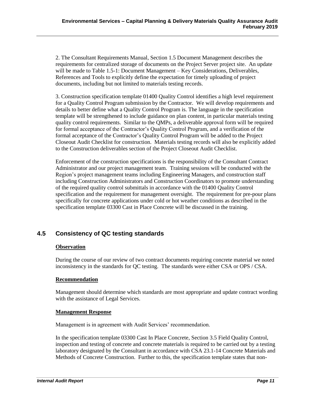2. The Consultant Requirements Manual, Section 1.5 Document Management describes the requirements for centralized storage of documents on the Project Server project site. An update will be made to Table 1.5-1: Document Management – Key Considerations, Deliverables, References and Tools to explicitly define the expectation for timely uploading of project documents, including but not limited to materials testing records.

3. Construction specification template 01400 Quality Control identifies a high level requirement for a Quality Control Program submission by the Contractor. We will develop requirements and details to better define what a Quality Control Program is. The language in the specification template will be strengthened to include guidance on plan content, in particular materials testing quality control requirements. Similar to the QMPs, a deliverable approval form will be required for formal acceptance of the Contractor's Quality Control Program, and a verification of the formal acceptance of the Contractor's Quality Control Program will be added to the Project Closeout Audit Checklist for construction. Materials testing records will also be explicitly added to the Construction deliverables section of the Project Closeout Audit Checklist.

Enforcement of the construction specifications is the responsibility of the Consultant Contract Administrator and our project management team. Training sessions will be conducted with the Region's project management teams including Engineering Managers, and construction staff including Construction Administrators and Construction Coordinators to promote understanding of the required quality control submittals in accordance with the 01400 Quality Control specification and the requirement for management oversight. The requirement for pre-pour plans specifically for concrete applications under cold or hot weather conditions as described in the specification template 03300 Cast in Place Concrete will be discussed in the training.

#### <span id="page-11-0"></span>**4.5 Consistency of QC testing standards**

#### **Observation**

During the course of our review of two contract documents requiring concrete material we noted inconsistency in the standards for QC testing. The standards were either CSA or OPS / CSA.

#### **Recommendation**

Management should determine which standards are most appropriate and update contract wording with the assistance of Legal Services.

#### **Management Response**

Management is in agreement with Audit Services' recommendation.

In the specification template 03300 Cast In Place Concrete, Section 3.5 Field Quality Control, inspection and testing of concrete and concrete materials is required to be carried out by a testing laboratory designated by the Consultant in accordance with CSA 23.1-14 Concrete Materials and Methods of Concrete Construction. Further to this, the specification template states that non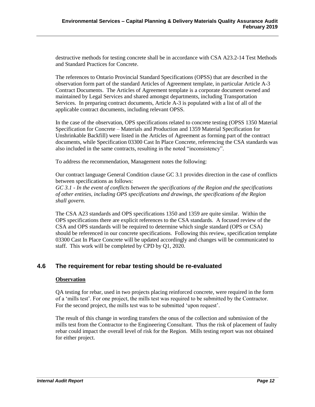destructive methods for testing concrete shall be in accordance with CSA A23.2-14 Test Methods and Standard Practices for Concrete.

The references to Ontario Provincial Standard Specifications (OPSS) that are described in the observation form part of the standard Articles of Agreement template, in particular Article A-3 Contract Documents. The Articles of Agreement template is a corporate document owned and maintained by Legal Services and shared amongst departments, including Transportation Services. In preparing contract documents, Article A-3 is populated with a list of all of the applicable contract documents, including relevant OPSS.

In the case of the observation, OPS specifications related to concrete testing (OPSS 1350 Material Specification for Concrete – Materials and Production and 1359 Material Specification for Unshrinkable Backfill) were listed in the Articles of Agreement as forming part of the contract documents, while Specification 03300 Cast In Place Concrete, referencing the CSA standards was also included in the same contracts, resulting in the noted "inconsistency".

To address the recommendation, Management notes the following:

Our contract language General Condition clause GC 3.1 provides direction in the case of conflicts between specifications as follows:

*GC 3.1 - In the event of conflicts between the specifications of the Region and the specifications of other entities, including OPS specifications and drawings, the specifications of the Region shall govern.*

The CSA A23 standards and OPS specifications 1350 and 1359 are quite similar. Within the OPS specifications there are explicit references to the CSA standards. A focused review of the CSA and OPS standards will be required to determine which single standard (OPS or CSA) should be referenced in our concrete specifications. Following this review, specification template 03300 Cast In Place Concrete will be updated accordingly and changes will be communicated to staff. This work will be completed by CPD by Q1, 2020.

#### <span id="page-12-0"></span>**4.6 The requirement for rebar testing should be re-evaluated**

#### **Observation**

QA testing for rebar, used in two projects placing reinforced concrete, were required in the form of a 'mills test'. For one project, the mills test was required to be submitted by the Contractor. For the second project, the mills test was to be submitted 'upon request'.

The result of this change in wording transfers the onus of the collection and submission of the mills test from the Contractor to the Engineering Consultant. Thus the risk of placement of faulty rebar could impact the overall level of risk for the Region. Mills testing report was not obtained for either project.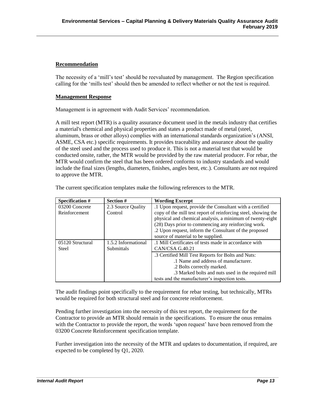#### **Recommendation**

The necessity of a 'mill's test' should be reevaluated by management. The Region specification calling for the 'mills test' should then be amended to reflect whether or not the test is required.

#### **Management Response**

Management is in agreement with Audit Services' recommendation.

A mill test report (MTR) is a quality assurance document used in the metals industry that certifies a material's chemical and physical properties and states a product made of metal (steel, aluminum, brass or other alloys) complies with an international standards organization's (ANSI, ASME, CSA etc.) specific requirements. It provides traceability and assurance about the quality of the steel used and the process used to produce it. This is not a material test that would be conducted onsite, rather, the MTR would be provided by the raw material producer. For rebar, the MTR would confirm the steel that has been ordered conforms to industry standards and would include the final sizes (lengths, diameters, finishes, angles bent, etc.). Consultants are not required to approve the MTR.

| Specification #  | Section #           | <b>Wording Excerpt</b>                                         |
|------------------|---------------------|----------------------------------------------------------------|
| 03200 Concrete   | 2.3 Source Quality  | .1 Upon request, provide the Consultant with a certified       |
| Reinforcement    | Control             | copy of the mill test report of reinforcing steel, showing the |
|                  |                     | physical and chemical analysis, a minimum of twenty-eight      |
|                  |                     | (28) Days prior to commencing any reinforcing work.            |
|                  |                     | .2 Upon request, inform the Consultant of the proposed         |
|                  |                     | source of material to be supplied.                             |
| 05120 Structural | 1.5.2 Informational | .1 Mill Certificates of tests made in accordance with          |
| Steel            | <b>Submittals</b>   | CAN/CSA G.40.21                                                |
|                  |                     | .3 Certified Mill Test Reports for Bolts and Nuts:             |
|                  |                     | .1 Name and address of manufacturer.                           |
|                  |                     | .2 Bolts correctly marked.                                     |
|                  |                     | .3 Marked bolts and nuts used in the required mill             |
|                  |                     | tests and the manufacturer's inspection tests.                 |

The current specification templates make the following references to the MTR.

The audit findings point specifically to the requirement for rebar testing, but technically, MTRs would be required for both structural steel and for concrete reinforcement.

Pending further investigation into the necessity of this test report, the requirement for the Contractor to provide an MTR should remain in the specifications. To ensure the onus remains with the Contractor to provide the report, the words 'upon request' have been removed from the 03200 Concrete Reinforcement specification template.

Further investigation into the necessity of the MTR and updates to documentation, if required, are expected to be completed by Q1, 2020.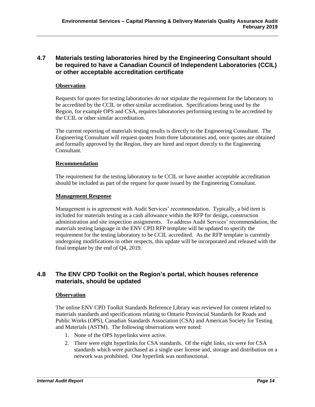#### <span id="page-14-0"></span>**4.7 Materials testing laboratories hired by the Engineering Consultant should be required to have a Canadian Council of Independent Laboratories (CCIL) or other acceptable accreditation certificate**

#### **Observation**

Requests for quotes for testing laboratories do not stipulate the requirement for the laboratory to be accredited by the CCIL or other similar accreditation. Specifications being used by the Region, for example OPS and CSA, requires laboratories performing testing to be accredited by the CCIL or other similar accreditation.

The current reporting of materials testing results is directly to the Engineering Consultant. The Engineering Consultant will request quotes from three laboratories and, once quotes are obtained and formally approved by the Region, they are hired and report directly to the Engineering Consultant.

#### **Recommendation**

The requirement for the testing laboratory to be CCIL or have another acceptable accreditation should be included as part of the request for quote issued by the Engineering Consultant.

#### **Management Response**

Management is in agreement with Audit Services' recommendation. Typically, a bid item is included for materials testing as a cash allowance within the RFP for design, construction administration and site inspection assignments. To address Audit Services' recommendation, the materials testing language in the ENV CPD RFP template will be updated to specify the requirement for the testing laboratory to be CCIL accredited. As the RFP template is currently undergoing modifications in other respects, this update will be incorporated and released with the final template by the end of Q4, 2019.

#### <span id="page-14-1"></span>**4.8 The ENV CPD Toolkit on the Region's portal, which houses reference materials, should be updated**

#### **Observation**

The online ENV CPD Toolkit Standards Reference Library was reviewed for content related to materials standards and specifications relating to Ontario Provincial Standards for Roads and Public Works (OPS), Canadian Standards Association (CSA) and American Society for Testing and Materials (ASTM). The following observations were noted:

- 1. None of the OPS hyperlinks were active.
- 2. There were eight hyperlinks for CSA standards. Of the eight links, six were for CSA standards which were purchased as a single user license and, storage and distribution on a network was prohibited. One hyperlink was nonfunctional.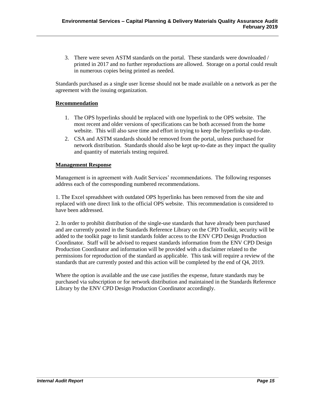3. There were seven ASTM standards on the portal. These standards were downloaded / printed in 2017 and no further reproductions are allowed. Storage on a portal could result in numerous copies being printed as needed.

Standards purchased as a single user license should not be made available on a network as per the agreement with the issuing organization.

#### **Recommendation**

- 1. The OPS hyperlinks should be replaced with one hyperlink to the OPS website. The most recent and older versions of specifications can be both accessed from the home website. This will also save time and effort in trying to keep the hyperlinks up-to-date.
- 2. CSA and ASTM standards should be removed from the portal, unless purchased for network distribution. Standards should also be kept up-to-date as they impact the quality and quantity of materials testing required.

#### **Management Response**

Management is in agreement with Audit Services' recommendations. The following responses address each of the corresponding numbered recommendations.

1. The Excel spreadsheet with outdated OPS hyperlinks has been removed from the site and replaced with one direct link to the official OPS website. This recommendation is considered to have been addressed.

2. In order to prohibit distribution of the single-use standards that have already been purchased and are currently posted in the Standards Reference Library on the CPD Toolkit, security will be added to the toolkit page to limit standards folder access to the ENV CPD Design Production Coordinator. Staff will be advised to request standards information from the ENV CPD Design Production Coordinator and information will be provided with a disclaimer related to the permissions for reproduction of the standard as applicable. This task will require a review of the standards that are currently posted and this action will be completed by the end of Q4, 2019.

Where the option is available and the use case justifies the expense, future standards may be purchased via subscription or for network distribution and maintained in the Standards Reference Library by the ENV CPD Design Production Coordinator accordingly.